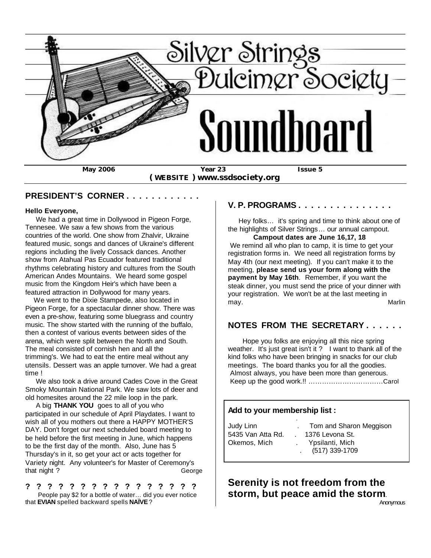

 **( WEBSITE ) www.ssdsociety.org**

#### **PRESIDENT'S CORNER . . . . . . . . . . . .**

#### **Hello Everyone,**

 We had a great time in Dollywood in Pigeon Forge, Tennesee. We saw a few shows from the various countries of the world. One show from Zhalvir, Ukraine featured music, songs and dances of Ukraine's different regions including the lively Cossack dances. Another show from Atahual Pas Ecuador featured traditional rhythms celebrating history and cultures from the South American Andes Mountains. We heard some gospel music from the Kingdom Heir's which have been a featured attraction in Dollywood for many years.

 We went to the Dixie Stampede, also located in Pigeon Forge, for a spectacular dinner show. There was even a pre-show, featuring some bluegrass and country music. The show started with the running of the buffalo, then a contest of various events between sides of the arena, which were split between the North and South. The meal consisted of cornish hen and all the trimming's. We had to eat the entire meal without any utensils. Dessert was an apple turnover. We had a great time !

 We also took a drive around Cades Cove in the Great Smoky Mountain National Park. We saw lots of deer and old homesites around the 22 mile loop in the park.

 A big **THANK YOU** goes to all of you who participated in our schedule of April Playdates. I want to wish all of you mothers out there a HAPPY MOTHER'S DAY. Don't forget our next scheduled board meeting to be held before the first meeting in June, which happens to be the first day of the month. Also, June has 5 Thursday's in it, so get your act or acts together for Variety night. Any volunteer's for Master of Ceremony's that night ? George

**? ? ? ? ? ? ? ? ? ? ? ? ? ? ? ?** People pay \$2 for a bottle of water… did you ever notice that **EVIAN** spelled backward spells **NAÏVE** ?

## **V. P. PROGRAMS . . . . . . . . . . . . . . .**

 Hey folks… it's spring and time to think about one of the highlights of Silver Strings… our annual campout.

 **Campout dates are June 16,17, 18** We remind all who plan to camp, it is time to get your registration forms in. We need all registration forms by May 4th (our next meeting). If you can't make it to the meeting, **please send us your form along with the payment by May 16th**. Remember, if you want the steak dinner, you must send the price of your dinner with your registration. We won't be at the last meeting in may. **Martin** 

## **NOTES FROM THE SECRETARY . . . . . .**

 Hope you folks are enjoying all this nice spring weather. It's just great isn't it ? I want to thank all of the kind folks who have been bringing in snacks for our club meetings. The board thanks you for all the goodies. Almost always, you have been more than generous. Keep up the good work.!! ……………………………Carol

#### **Add to your membership list :**

|                   | ٠ |                         |
|-------------------|---|-------------------------|
| Judy Linn         |   | Tom and Sharon Meggison |
| 5435 Van Atta Rd. |   | 1376 Levona St.         |
| Okemos, Mich      |   | . Ypsilanti, Mich       |
|                   |   | (517) 339-1709          |
|                   |   |                         |

# **Serenity is not freedom from the storm, but peace amid the storm**.

**Anonymous**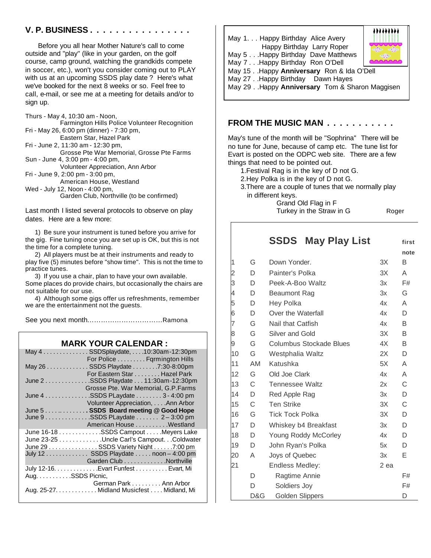# **V. P. BUSINESS . . . . . . . . . . . . . . . .**

 Before you all hear Mother Nature's call to come outside and "play" (like in your garden, on the golf course, camp ground, watching the grandkids compete in soccer, etc.), won't you consider coming out to PLAY with us at an upcoming SSDS play date ? Here's what we've booked for the next 8 weeks or so. Feel free to call, e-mail, or see me at a meeting for details and/or to sign up.

| Thurs - May 4, 10:30 am - Noon,                          |
|----------------------------------------------------------|
| Farmington Hills Police Volunteer Recognition            |
| Fri - May 26, 6:00 pm (dinner) - 7:30 pm,                |
| Eastern Star, Hazel Park                                 |
| Fri - June 2, 11:30 am - 12:30 pm,                       |
| Grosse Pte War Memorial, Grosse Pte Farms                |
| Sun - June 4, 3:00 pm - 4:00 pm,                         |
| Volunteer Appreciation, Ann Arbor                        |
| Fri - June 9, 2:00 pm - 3:00 pm,                         |
| American House, Westland                                 |
| Wed - July 12, Noon - 4:00 pm,                           |
| Garden Club, Northville (to be confirmed)                |
| Last month Llisted several protocols to observe on play. |

Last month I listed several protocols to observe on play dates. Here are a few more:

 1) Be sure your instrument is tuned before you arrive for the gig. Fine tuning once you are set up is OK, but this is not the time for a complete tuning.

 2) All players must be at their instruments and ready to play five (5) minutes before "show time". This is not the time to practice tunes.

 3) If you use a chair, plan to have your own available. Some places do provide chairs, but occasionally the chairs are not suitable for our use.

 4) Although some gigs offer us refreshments, remember we are the entertainment not the guests.

See you next month……………………………Ramona

# **MARK YOUR CALENDAR :**

|                   | May 4SSDSplaydate,10:30am-12:30pm                                                    |
|-------------------|--------------------------------------------------------------------------------------|
|                   | For Police Fqrmington Hills                                                          |
|                   | May 26 SSDS Playdate 7:30-8:00pm                                                     |
|                   | For Eastern Star Hazel Park                                                          |
|                   | June 2SSDS Playdate  11:30am-12:30pm                                                 |
|                   | Grosse Pte. War Memorial, G.P. Farms                                                 |
|                   | June 4 SSDS PLaydate 3 - 4:00 pm                                                     |
|                   | Volunteer Appreciation, Ann Arbor                                                    |
|                   | June 5 SSDS Board meeting @ Good Hope                                                |
|                   | June $9 \ldots \ldots \ldots \ldots$ SSDS PLaydate $\ldots \ldots \cdot 2 - 3:00$ pm |
|                   | American House Westland                                                              |
|                   | June 16-18 SSDS Campout Meyers Lake                                                  |
|                   | June 23-25 Uncle Carl's Campout. Coldwater                                           |
|                   | June 29 SSDS Variety Night 7:00 pm                                                   |
|                   | July 12 SSDS Playdate  noon $-4:00 \text{ pm}$                                       |
|                   | Garden Club Northville                                                               |
|                   | July 12-16. Evart Funfest Evart, Mi                                                  |
| Aug. SSDS Picnic, |                                                                                      |
|                   | German Park Ann Arbor                                                                |
|                   | Aug. 25-27. Midland Musicfest Midland, Mi                                            |
|                   |                                                                                      |

| May 1. Happy Birthday Alice Avery<br>Happy Birthday Larry Roper<br>May 5 Happy Birthday Dave Matthews | ,,,,,,,,, |  |
|-------------------------------------------------------------------------------------------------------|-----------|--|
|                                                                                                       |           |  |
| May 7 Happy Birthday Ron O'Dell                                                                       |           |  |
| May 15 Happy Anniversary Ron & Ida O'Dell                                                             |           |  |
| May 27. Happy Birthday Dawn Hayes                                                                     |           |  |
| May 29 Happy Anniversary Tom & Sharon Maggisen                                                        |           |  |

## **FROM THE MUSIC MAN . . . . . . . . . . .**

May's tune of the month will be "Sophrina" There will be no tune for June, because of camp etc. The tune list for Evart is posted on the ODPC web site. There are a few things that need to be pointed out.

- 1.Festival Rag is in the key of D not G.
- 2.Hey Polka is in the key of D not G.
- 3.There are a couple of tunes that we normally play in different keys.

 Grand Old Flag in F Turkey in the Straw in G Roger

# **SSDS May Play List first**

**note**

|    |     |                                |      | ייטני |
|----|-----|--------------------------------|------|-------|
| 1  | G   | Down Yonder.                   | 3X   | B     |
| 2  | D   | Painter's Polka                | 3X   | A     |
| 3  | D   | Peek-A-Boo Waltz               | 3x   | F#    |
| 4  | D   | Beaumont Rag                   | 3x   | G     |
| 5  | D   | Hey Polka                      | 4x   | A     |
| 6  | D   | Over the Waterfall             | 4x   | D     |
| 7  | G   | Nail that Catfish              | 4x   | B     |
| 8  | G   | Silver and Gold                | 3X   | B     |
| 9  | G   | <b>Columbus Stockade Blues</b> | 4X   | B     |
| 10 | G   | Westphalia Waltz               | 2X   | D     |
| 11 | AM  | Katushka                       | 5X   | A     |
| 12 | G   | Old Joe Clark                  | 4x   | A     |
| 13 | C   | <b>Tennessee Waltz</b>         | 2x   | С     |
| 14 | D   | Red Apple Rag                  | 3x   | D     |
| 15 | С   | <b>Ten Strike</b>              | 3X   | С     |
| 16 | G   | <b>Tick Tock Polka</b>         | 3X   | D     |
| 17 | D   | Whiskey b4 Breakfast           | 3x   | D     |
| 18 | D   | Young Roddy McCorley           | 4x   | D     |
| 19 | D   | John Ryan's Polka              | 5x   | D     |
| 20 | A   | Joys of Quebec                 | 3x   | Е     |
| 21 |     | Endless Medley:                | 2 ea |       |
|    | D   | Ragtime Annie                  |      | F#    |
|    | D   | Soldiers Joy                   |      | F#    |
|    | D&G | <b>Golden Slippers</b>         |      | D     |
|    |     |                                |      |       |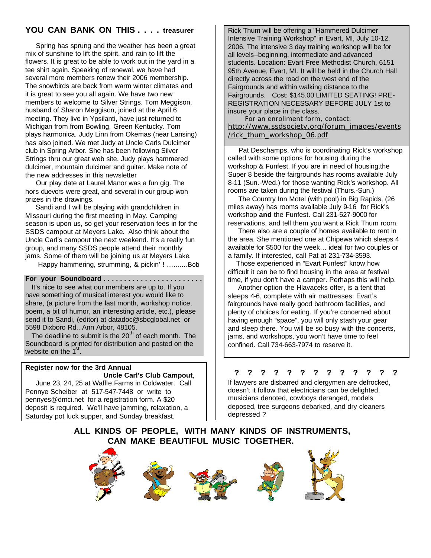## **YOU CAN BANK ON THIS . . . . treasurer**

 Spring has sprung and the weather has been a great mix of sunshine to lift the spirit, and rain to lift the flowers. It is great to be able to work out in the yard in a tee shirt again. Speaking of renewal, we have had several more members renew their 2006 membership. The snowbirds are back from warm winter climates and it is great to see you all again. We have two new members to welcome to Silver Strings. Tom Meggison, husband of Sharon Meggison, joined at the April 6 meeting. They live in Ypsilanti, have just returned to Michigan from from Bowling, Green Kentucky. Tom plays harmonica. Judy Linn from Okemas (near Lansing) has also joined. We met Judy at Uncle Carls Dulcimer club in Spring Arbor. She has been following Silver Strings thru our great web site. Judy plays hammered dulcimer, mountain dulcimer and guitar. Make note of the new addresses in this newsletter

 Our play date at Laurel Manor was a fun gig. The hors duevors were great, and several in our group won prizes in the drawings.

 Sandi and I will be playing with grandchildren in Missouri during the first meeting in May. Camping season is upon us, so get your reservation fees in for the SSDS campout at Meyers Lake. Also think about the Uncle Carl's campout the next weekend. It's a really fun group, and many SSDS people attend their monthly jams. Some of them will be joining us at Meyers Lake.

Happy hammering, strumming, & pickin' ! ….......Bob

**For your Soundboard . . . . . . . . . . . . . . . . . . . . . . . .** It's nice to see what our members are up to. If you have something of musical interest you would like to share, (a picture from the last month, workshop notice, poem, a bit of humor, an interesting article, etc.), please send it to Sandi, (editor) at datadoc@sbcglobal.net or 5598 Dixboro Rd., Ann Arbor, 48105.

The deadline to submit is the  $20<sup>th</sup>$  of each month. The Soundboard is printed for distribution and posted on the website on the 1<sup>st</sup>.

# **Register now for the 3rd Annual**

 **Uncle Carl's Club Campout**, June 23, 24, 25 at Waffle Farms in Coldwater. Call Pennye Scheiber at 517-547-7448 or write to pennyes@dmci.net for a registration form. A \$20 deposit is required. We'll have jamming, relaxation, a Saturday pot luck supper, and Sunday breakfast.

Rick Thum will be offering a "Hammered Dulcimer Intensive Training Workshop" in Evart, MI, July 10-12, 2006. The intensive 3 day training workshop will be for all levels--beginning, intermediate and advanced students. Location: Evart Free Methodist Church, 6151 95th Avenue, Evart, MI. It will be held in the Church Hall directly across the road on the west end of the Fairgrounds and within walking distance to the Fairgrounds. Cost: \$145.00.LIMITED SEATING! PRE-REGISTRATION NECESSARY BEFORE JULY 1st to insure your place in the class.

 For an enrollment form, contact: http://www.ssdsociety.org/forum\_images/events /rick\_thum\_workshop\_06.pdf

 Pat Deschamps, who is coordinating Rick's workshop called with some options for housing during the workshop & Funfest. If you are in need of housing,the Super 8 beside the fairgrounds has rooms available July 8-11 (Sun.-Wed.) for those wanting Rick's workshop. All rooms are taken during the festival (Thurs.-Sun.)

 The Country Inn Motel (with pool) in Big Rapids, (26 miles away) has rooms available July 9-16 for Rick's workshop **and** the Funfest. Call 231-527-9000 for reservations, and tell them you want a Rick Thum room.

 There also are a couple of homes available to rent in the area. She mentioned one at Chipewa which sleeps 4 available for \$500 for the week… ideal for two couples or a family. If interested, call Pat at 231-734-3593.

 Those experienced in "Evart Funfest" know how difficult it can be to find housing in the area at festival time, if you don't have a camper. Perhaps this will help.

 Another option the Hlavaceks offer, is a tent that sleeps 4-6, complete with air mattresses. Evart's fairgrounds have really good bathroom facilities, and plenty of choices for eating. If you're concerned about having enough "space", you will only stash your gear and sleep there. You will be so busy with the concerts, jams, and workshops, you won't have time to feel confined. Call 734-663-7974 to reserve it.

# **? ? ? ? ? ? ? ? ? ? ? ? ?**

If lawyers are disbarred and clergymen are defrocked, doesn't it follow that electricians can be delighted, musicians denoted, cowboys deranged, models deposed, tree surgeons debarked, and dry cleaners depressed ?

# **ALL KINDS OF PEOPLE, WITH MANY KINDS OF INSTRUMENTS, CAN MAKE BEAUTIFUL MUSIC TOGETHER.**

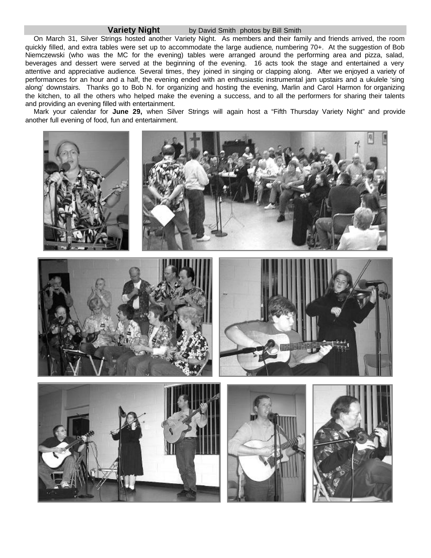**Variety Night** by David Smith photos by Bill Smith

 On March 31, Silver Strings hosted another Variety Night. As members and their family and friends arrived, the room quickly filled, and extra tables were set up to accommodate the large audience, numbering 70+. At the suggestion of Bob Niemczewski (who was the MC for the evening) tables were arranged around the performing area and pizza, salad, beverages and dessert were served at the beginning of the evening. 16 acts took the stage and entertained a very attentive and appreciative audience. Several times, they joined in singing or clapping along. After we enjoyed a variety of performances for an hour and a half, the evening ended with an enthusiastic instrumental jam upstairs and a ukulele 'sing along' downstairs. Thanks go to Bob N. for organizing and hosting the evening, Marlin and Carol Harmon for organizing the kitchen, to all the others who helped make the evening a success, and to all the performers for sharing their talents and providing an evening filled with entertainment.

 Mark your calendar for **June 29,** when Silver Strings will again host a "Fifth Thursday Variety Night" and provide another full evening of food, fun and entertainment.

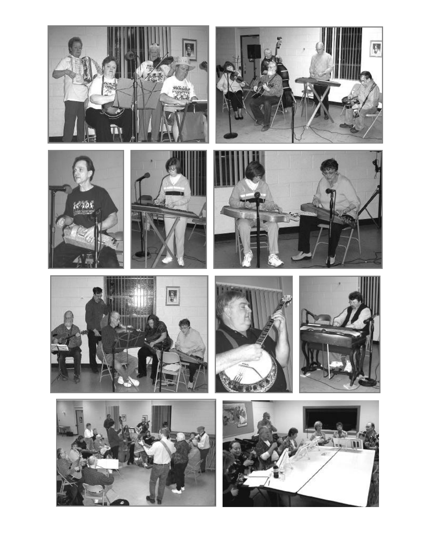